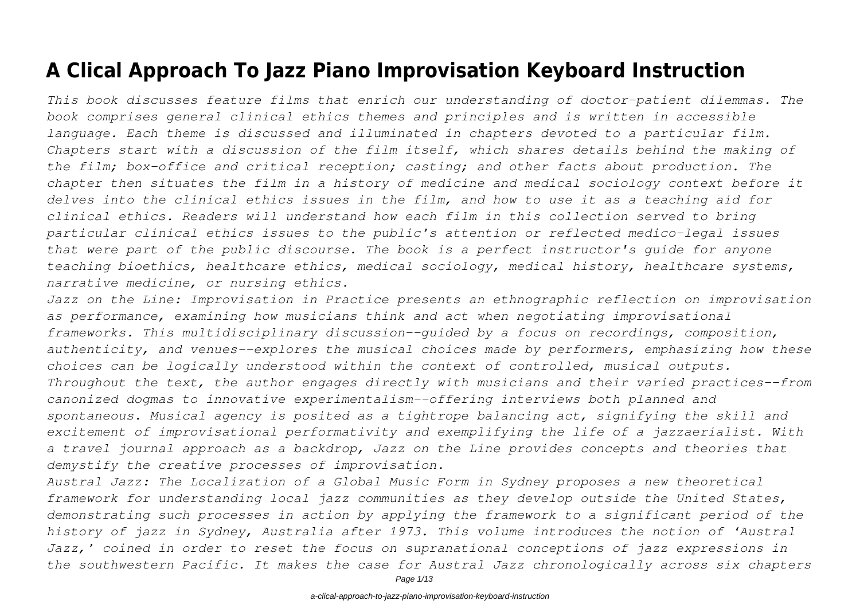# **A Clical Approach To Jazz Piano Improvisation Keyboard Instruction**

*This book discusses feature films that enrich our understanding of doctor-patient dilemmas. The book comprises general clinical ethics themes and principles and is written in accessible language. Each theme is discussed and illuminated in chapters devoted to a particular film. Chapters start with a discussion of the film itself, which shares details behind the making of the film; box-office and critical reception; casting; and other facts about production. The chapter then situates the film in a history of medicine and medical sociology context before it delves into the clinical ethics issues in the film, and how to use it as a teaching aid for clinical ethics. Readers will understand how each film in this collection served to bring particular clinical ethics issues to the public's attention or reflected medico-legal issues that were part of the public discourse. The book is a perfect instructor's guide for anyone teaching bioethics, healthcare ethics, medical sociology, medical history, healthcare systems, narrative medicine, or nursing ethics.*

*Jazz on the Line: Improvisation in Practice presents an ethnographic reflection on improvisation as performance, examining how musicians think and act when negotiating improvisational frameworks. This multidisciplinary discussion--guided by a focus on recordings, composition, authenticity, and venues--explores the musical choices made by performers, emphasizing how these choices can be logically understood within the context of controlled, musical outputs. Throughout the text, the author engages directly with musicians and their varied practices--from canonized dogmas to innovative experimentalism--offering interviews both planned and spontaneous. Musical agency is posited as a tightrope balancing act, signifying the skill and excitement of improvisational performativity and exemplifying the life of a jazzaerialist. With a travel journal approach as a backdrop, Jazz on the Line provides concepts and theories that demystify the creative processes of improvisation.*

*Austral Jazz: The Localization of a Global Music Form in Sydney proposes a new theoretical framework for understanding local jazz communities as they develop outside the United States, demonstrating such processes in action by applying the framework to a significant period of the history of jazz in Sydney, Australia after 1973. This volume introduces the notion of 'Austral Jazz,' coined in order to reset the focus on supranational conceptions of jazz expressions in the southwestern Pacific. It makes the case for Austral Jazz chronologically across six chapters*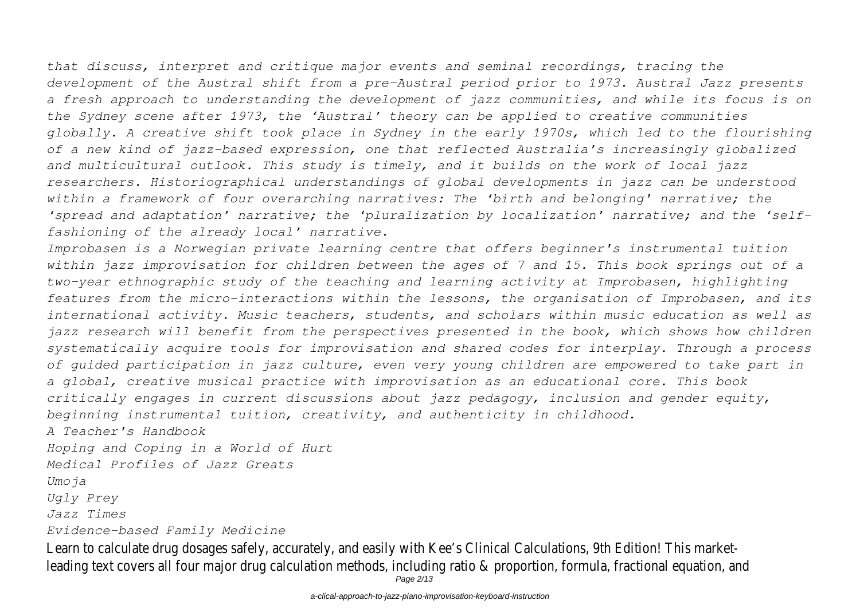*that discuss, interpret and critique major events and seminal recordings, tracing the development of the Austral shift from a pre-Austral period prior to 1973. Austral Jazz presents a fresh approach to understanding the development of jazz communities, and while its focus is on the Sydney scene after 1973, the 'Austral' theory can be applied to creative communities globally. A creative shift took place in Sydney in the early 1970s, which led to the flourishing of a new kind of jazz-based expression, one that reflected Australia's increasingly globalized and multicultural outlook. This study is timely, and it builds on the work of local jazz researchers. Historiographical understandings of global developments in jazz can be understood within a framework of four overarching narratives: The 'birth and belonging' narrative; the 'spread and adaptation' narrative; the 'pluralization by localization' narrative; and the 'selffashioning of the already local' narrative.*

*Improbasen is a Norwegian private learning centre that offers beginner's instrumental tuition within jazz improvisation for children between the ages of 7 and 15. This book springs out of a two-year ethnographic study of the teaching and learning activity at Improbasen, highlighting features from the micro-interactions within the lessons, the organisation of Improbasen, and its international activity. Music teachers, students, and scholars within music education as well as jazz research will benefit from the perspectives presented in the book, which shows how children systematically acquire tools for improvisation and shared codes for interplay. Through a process of guided participation in jazz culture, even very young children are empowered to take part in a global, creative musical practice with improvisation as an educational core. This book critically engages in current discussions about jazz pedagogy, inclusion and gender equity, beginning instrumental tuition, creativity, and authenticity in childhood.*

*A Teacher's Handbook*

*Hoping and Coping in a World of Hurt*

*Medical Profiles of Jazz Greats*

*Umoja*

*Ugly Prey*

*Jazz Times*

*Evidence-based Family Medicine*

Learn to calculate drug dosages safely, accurately, and easily with Kee's Clinical Calculations, 9th Edition! This marketleading text covers all four major drug calculation methods, including ratio & proportion, formula, fractional equation, and Page 2/13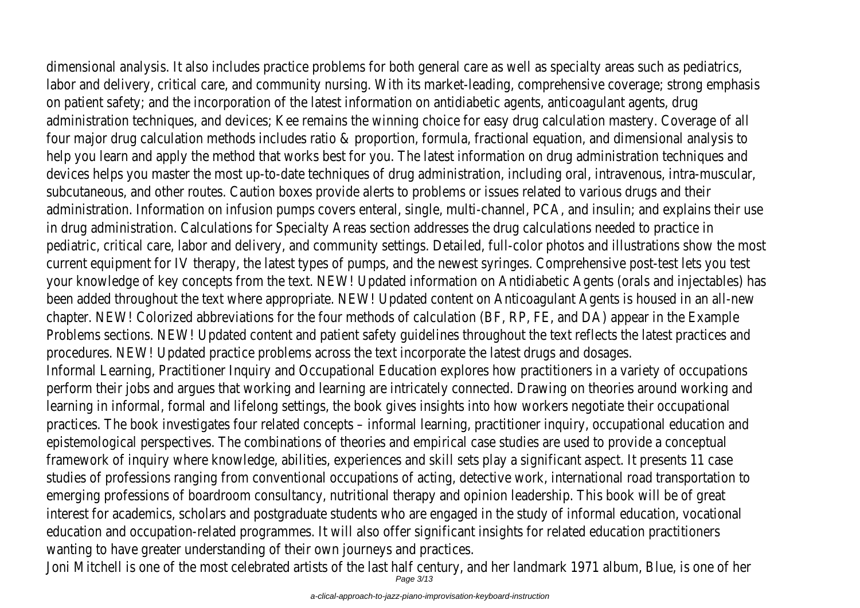dimensional analysis. It also includes practice problems for both general care as well as specialty areas such as pediatrics, labor and delivery, critical care, and community nursing. With its market-leading, comprehensive coverage; strong emphasis on patient safety; and the incorporation of the latest information on antidiabetic agents, anticoagulant agents, drug

administration techniques, and devices; Kee remains the winning choice for easy drug calculation mastery. Coverage of all four major drug calculation methods includes ratio & proportion, formula, fractional equation, and dimensional analysis to help you learn and apply the method that works best for you. The latest information on drug administration techniques and devices helps you master the most up-to-date techniques of drug administration, including oral, intravenous, intra-muscular, subcutaneous, and other routes. Caution boxes provide alerts to problems or issues related to various drugs and their administration. Information on infusion pumps covers enteral, single, multi-channel, PCA, and insulin; and explains their use in drug administration. Calculations for Specialty Areas section addresses the drug calculations needed to practice in pediatric, critical care, labor and delivery, and community settings. Detailed, full-color photos and illustrations show the most current equipment for IV therapy, the latest types of pumps, and the newest syringes. Comprehensive post-test lets you test your knowledge of key concepts from the text. NEW! Updated information on Antidiabetic Agents (orals and injectables) has been added throughout the text where appropriate. NEW! Updated content on Anticoagulant Agents is housed in an all-new chapter. NEW! Colorized abbreviations for the four methods of calculation (BF, RP, FE, and DA) appear in the Example Problems sections. NEW! Updated content and patient safety guidelines throughout the text reflects the latest practices and procedures. NEW! Updated practice problems across the text incorporate the latest drugs and dosages. Informal Learning, Practitioner Inquiry and Occupational Education explores how practitioners in a variety of occupations perform their jobs and argues that working and learning are intricately connected. Drawing on theories around working and learning in informal, formal and lifelong settings, the book gives insights into how workers negotiate their occupational practices. The book investigates four related concepts – informal learning, practitioner inquiry, occupational education and epistemological perspectives. The combinations of theories and empirical case studies are used to provide a conceptual framework of inquiry where knowledge, abilities, experiences and skill sets play a significant aspect. It presents 11 case studies of professions ranging from conventional occupations of acting, detective work, international road transportation to emerging professions of boardroom consultancy, nutritional therapy and opinion leadership. This book will be of great interest for academics, scholars and postgraduate students who are engaged in the study of informal education, vocational education and occupation-related programmes. It will also offer significant insights for related education practitioners wanting to have greater understanding of their own journeys and practices.

Joni Mitchell is one of the most celebrated artists of the last half century, and her landmark 1971 album, Blue, is one of her<br>Page 3/13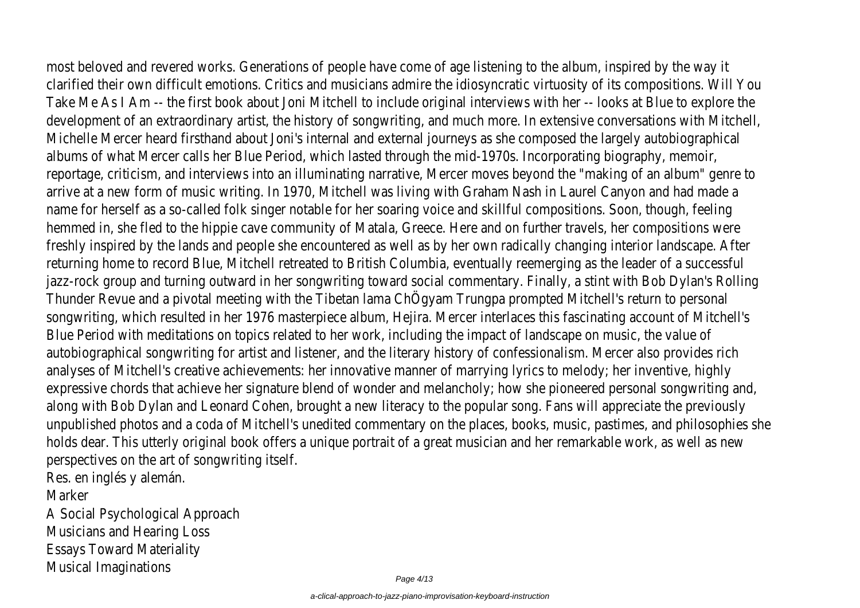most beloved and revered works. Generations of people have come of age listening to the album, inspired by the way it clarified their own difficult emotions. Critics and musicians admire the idiosyncratic virtuosity of its compositions. Will You Take Me As I Am -- the first book about Joni Mitchell to include original interviews with her -- looks at Blue to explore the development of an extraordinary artist, the history of songwriting, and much more. In extensive conversations with Mitchell, Michelle Mercer heard firsthand about Joni's internal and external journeys as she composed the largely autobiographical albums of what Mercer calls her Blue Period, which lasted through the mid-1970s. Incorporating biography, memoir, reportage, criticism, and interviews into an illuminating narrative, Mercer moves beyond the "making of an album" genre to arrive at a new form of music writing. In 1970, Mitchell was living with Graham Nash in Laurel Canyon and had made a name for herself as a so-called folk singer notable for her soaring voice and skillful compositions. Soon, though, feeling hemmed in, she fled to the hippie cave community of Matala, Greece. Here and on further travels, her compositions were freshly inspired by the lands and people she encountered as well as by her own radically changing interior landscape. After returning home to record Blue, Mitchell retreated to British Columbia, eventually reemerging as the leader of a successful jazz-rock group and turning outward in her songwriting toward social commentary. Finally, a stint with Bob Dylan's Rolling Thunder Revue and a pivotal meeting with the Tibetan lama ChÖgyam Trungpa prompted Mitchell's return to personal songwriting, which resulted in her 1976 masterpiece album, Hejira. Mercer interlaces this fascinating account of Mitchell's Blue Period with meditations on topics related to her work, including the impact of landscape on music, the value of autobiographical songwriting for artist and listener, and the literary history of confessionalism. Mercer also provides rich analyses of Mitchell's creative achievements: her innovative manner of marrying lyrics to melody; her inventive, highly expressive chords that achieve her signature blend of wonder and melancholy; how she pioneered personal songwriting and, along with Bob Dylan and Leonard Cohen, brought a new literacy to the popular song. Fans will appreciate the previously unpublished photos and a coda of Mitchell's unedited commentary on the places, books, music, pastimes, and philosophies she holds dear. This utterly original book offers a unique portrait of a great musician and her remarkable work, as well as new perspectives on the art of songwriting itself.

Res. en inglés y alemán.

Marker

A Social Psychological Approach Musicians and Hearing Loss Essays Toward Materiality Musical Imaginations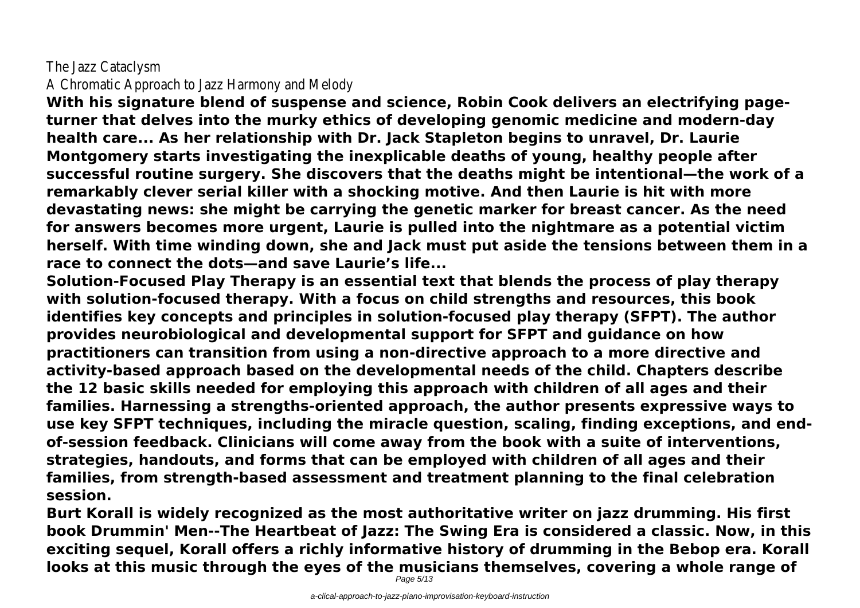## The Jazz Cataclysm A Chromatic Approach to Jazz Harmony and Melody

**With his signature blend of suspense and science, Robin Cook delivers an electrifying pageturner that delves into the murky ethics of developing genomic medicine and modern-day health care... As her relationship with Dr. Jack Stapleton begins to unravel, Dr. Laurie Montgomery starts investigating the inexplicable deaths of young, healthy people after successful routine surgery. She discovers that the deaths might be intentional—the work of a remarkably clever serial killer with a shocking motive. And then Laurie is hit with more devastating news: she might be carrying the genetic marker for breast cancer. As the need for answers becomes more urgent, Laurie is pulled into the nightmare as a potential victim herself. With time winding down, she and Jack must put aside the tensions between them in a race to connect the dots—and save Laurie's life...**

**Solution-Focused Play Therapy is an essential text that blends the process of play therapy with solution-focused therapy. With a focus on child strengths and resources, this book identifies key concepts and principles in solution-focused play therapy (SFPT). The author provides neurobiological and developmental support for SFPT and guidance on how practitioners can transition from using a non-directive approach to a more directive and activity-based approach based on the developmental needs of the child. Chapters describe the 12 basic skills needed for employing this approach with children of all ages and their families. Harnessing a strengths-oriented approach, the author presents expressive ways to use key SFPT techniques, including the miracle question, scaling, finding exceptions, and endof-session feedback. Clinicians will come away from the book with a suite of interventions, strategies, handouts, and forms that can be employed with children of all ages and their families, from strength-based assessment and treatment planning to the final celebration session.**

**Burt Korall is widely recognized as the most authoritative writer on jazz drumming. His first book Drummin' Men--The Heartbeat of Jazz: The Swing Era is considered a classic. Now, in this exciting sequel, Korall offers a richly informative history of drumming in the Bebop era. Korall looks at this music through the eyes of the musicians themselves, covering a whole range of**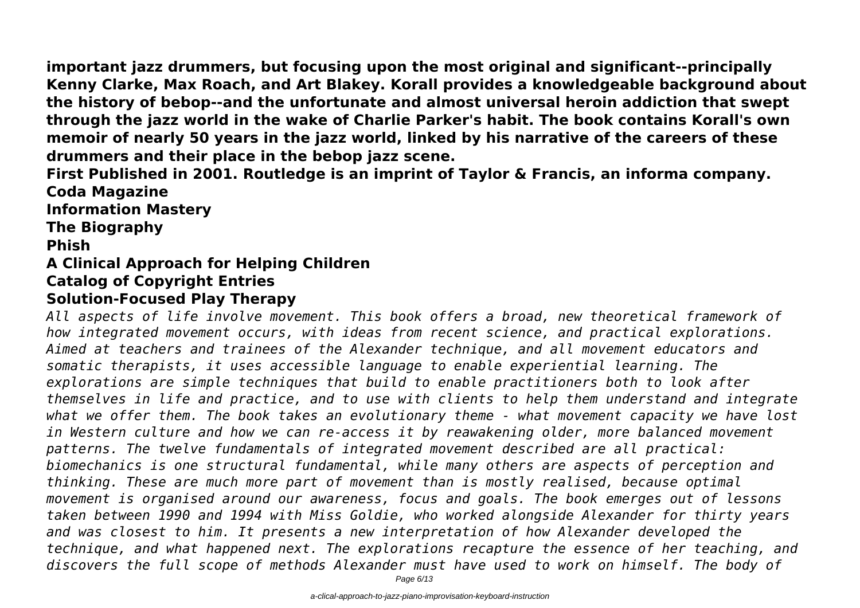**important jazz drummers, but focusing upon the most original and significant--principally Kenny Clarke, Max Roach, and Art Blakey. Korall provides a knowledgeable background about the history of bebop--and the unfortunate and almost universal heroin addiction that swept through the jazz world in the wake of Charlie Parker's habit. The book contains Korall's own memoir of nearly 50 years in the jazz world, linked by his narrative of the careers of these drummers and their place in the bebop jazz scene.**

**First Published in 2001. Routledge is an imprint of Taylor & Francis, an informa company. Coda Magazine**

**Information Mastery**

**The Biography**

**Phish**

#### **A Clinical Approach for Helping Children Catalog of Copyright Entries**

# **Solution-Focused Play Therapy**

*All aspects of life involve movement. This book offers a broad, new theoretical framework of how integrated movement occurs, with ideas from recent science, and practical explorations. Aimed at teachers and trainees of the Alexander technique, and all movement educators and somatic therapists, it uses accessible language to enable experiential learning. The explorations are simple techniques that build to enable practitioners both to look after themselves in life and practice, and to use with clients to help them understand and integrate what we offer them. The book takes an evolutionary theme - what movement capacity we have lost in Western culture and how we can re-access it by reawakening older, more balanced movement patterns. The twelve fundamentals of integrated movement described are all practical: biomechanics is one structural fundamental, while many others are aspects of perception and thinking. These are much more part of movement than is mostly realised, because optimal movement is organised around our awareness, focus and goals. The book emerges out of lessons taken between 1990 and 1994 with Miss Goldie, who worked alongside Alexander for thirty years and was closest to him. It presents a new interpretation of how Alexander developed the technique, and what happened next. The explorations recapture the essence of her teaching, and discovers the full scope of methods Alexander must have used to work on himself. The body of*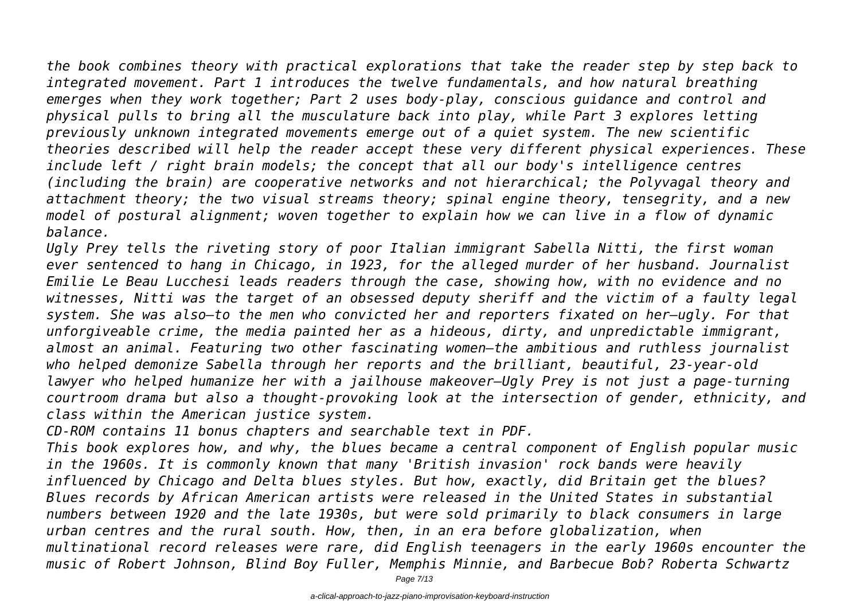*the book combines theory with practical explorations that take the reader step by step back to integrated movement. Part 1 introduces the twelve fundamentals, and how natural breathing emerges when they work together; Part 2 uses body-play, conscious guidance and control and physical pulls to bring all the musculature back into play, while Part 3 explores letting previously unknown integrated movements emerge out of a quiet system. The new scientific theories described will help the reader accept these very different physical experiences. These include left / right brain models; the concept that all our body's intelligence centres (including the brain) are cooperative networks and not hierarchical; the Polyvagal theory and*

*attachment theory; the two visual streams theory; spinal engine theory, tensegrity, and a new model of postural alignment; woven together to explain how we can live in a flow of dynamic balance.*

*Ugly Prey tells the riveting story of poor Italian immigrant Sabella Nitti, the first woman ever sentenced to hang in Chicago, in 1923, for the alleged murder of her husband. Journalist Emilie Le Beau Lucchesi leads readers through the case, showing how, with no evidence and no witnesses, Nitti was the target of an obsessed deputy sheriff and the victim of a faulty legal system. She was also—to the men who convicted her and reporters fixated on her—ugly. For that unforgiveable crime, the media painted her as a hideous, dirty, and unpredictable immigrant, almost an animal. Featuring two other fascinating women—the ambitious and ruthless journalist who helped demonize Sabella through her reports and the brilliant, beautiful, 23-year-old lawyer who helped humanize her with a jailhouse makeover—Ugly Prey is not just a page-turning courtroom drama but also a thought-provoking look at the intersection of gender, ethnicity, and class within the American justice system.*

*CD-ROM contains 11 bonus chapters and searchable text in PDF.*

*This book explores how, and why, the blues became a central component of English popular music in the 1960s. It is commonly known that many 'British invasion' rock bands were heavily influenced by Chicago and Delta blues styles. But how, exactly, did Britain get the blues? Blues records by African American artists were released in the United States in substantial numbers between 1920 and the late 1930s, but were sold primarily to black consumers in large urban centres and the rural south. How, then, in an era before globalization, when multinational record releases were rare, did English teenagers in the early 1960s encounter the music of Robert Johnson, Blind Boy Fuller, Memphis Minnie, and Barbecue Bob? Roberta Schwartz*

Page 7/13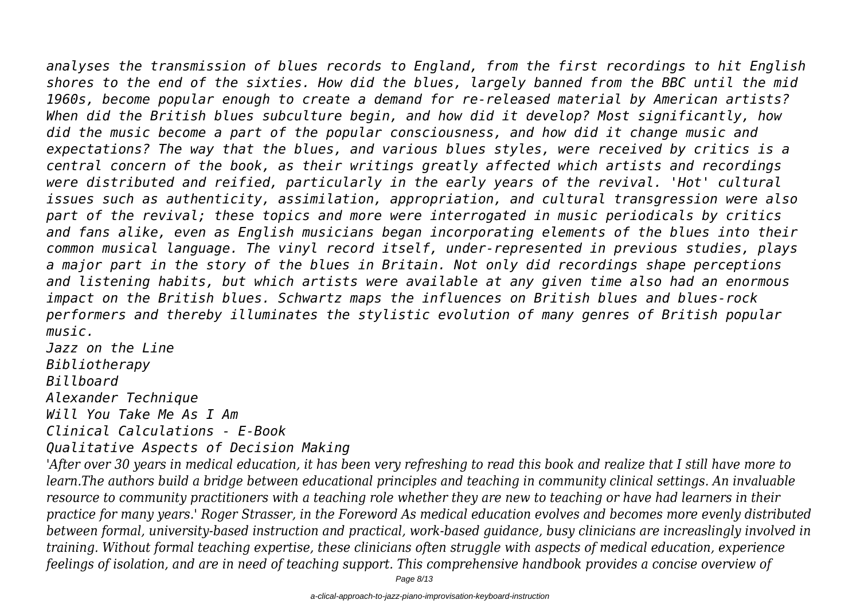*analyses the transmission of blues records to England, from the first recordings to hit English shores to the end of the sixties. How did the blues, largely banned from the BBC until the mid 1960s, become popular enough to create a demand for re-released material by American artists? When did the British blues subculture begin, and how did it develop? Most significantly, how did the music become a part of the popular consciousness, and how did it change music and expectations? The way that the blues, and various blues styles, were received by critics is a central concern of the book, as their writings greatly affected which artists and recordings were distributed and reified, particularly in the early years of the revival. 'Hot' cultural issues such as authenticity, assimilation, appropriation, and cultural transgression were also*

*part of the revival; these topics and more were interrogated in music periodicals by critics and fans alike, even as English musicians began incorporating elements of the blues into their common musical language. The vinyl record itself, under-represented in previous studies, plays a major part in the story of the blues in Britain. Not only did recordings shape perceptions and listening habits, but which artists were available at any given time also had an enormous impact on the British blues. Schwartz maps the influences on British blues and blues-rock performers and thereby illuminates the stylistic evolution of many genres of British popular music.*

*Jazz on the Line Bibliotherapy Billboard Alexander Technique Will You Take Me As I Am Clinical Calculations - E-Book*

*Qualitative Aspects of Decision Making*

*'After over 30 years in medical education, it has been very refreshing to read this book and realize that I still have more to learn.The authors build a bridge between educational principles and teaching in community clinical settings. An invaluable resource to community practitioners with a teaching role whether they are new to teaching or have had learners in their practice for many years.' Roger Strasser, in the Foreword As medical education evolves and becomes more evenly distributed between formal, university-based instruction and practical, work-based guidance, busy clinicians are increaslingly involved in training. Without formal teaching expertise, these clinicians often struggle with aspects of medical education, experience feelings of isolation, and are in need of teaching support. This comprehensive handbook provides a concise overview of*

Page 8/13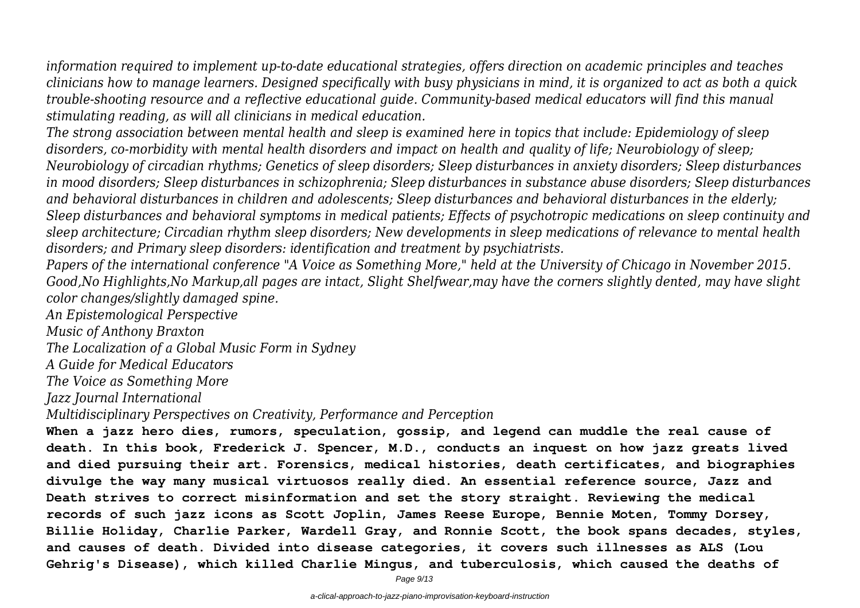*information required to implement up-to-date educational strategies, offers direction on academic principles and teaches clinicians how to manage learners. Designed specifically with busy physicians in mind, it is organized to act as both a quick trouble-shooting resource and a reflective educational guide. Community-based medical educators will find this manual stimulating reading, as will all clinicians in medical education.*

*The strong association between mental health and sleep is examined here in topics that include: Epidemiology of sleep disorders, co-morbidity with mental health disorders and impact on health and quality of life; Neurobiology of sleep; Neurobiology of circadian rhythms; Genetics of sleep disorders; Sleep disturbances in anxiety disorders; Sleep disturbances in mood disorders; Sleep disturbances in schizophrenia; Sleep disturbances in substance abuse disorders; Sleep disturbances and behavioral disturbances in children and adolescents; Sleep disturbances and behavioral disturbances in the elderly; Sleep disturbances and behavioral symptoms in medical patients; Effects of psychotropic medications on sleep continuity and sleep architecture; Circadian rhythm sleep disorders; New developments in sleep medications of relevance to mental health disorders; and Primary sleep disorders: identification and treatment by psychiatrists.*

*Papers of the international conference "A Voice as Something More," held at the University of Chicago in November 2015. Good,No Highlights,No Markup,all pages are intact, Slight Shelfwear,may have the corners slightly dented, may have slight color changes/slightly damaged spine.*

*An Epistemological Perspective*

*Music of Anthony Braxton*

*The Localization of a Global Music Form in Sydney*

*A Guide for Medical Educators*

*The Voice as Something More*

*Jazz Journal International*

*Multidisciplinary Perspectives on Creativity, Performance and Perception*

**When a jazz hero dies, rumors, speculation, gossip, and legend can muddle the real cause of death. In this book, Frederick J. Spencer, M.D., conducts an inquest on how jazz greats lived and died pursuing their art. Forensics, medical histories, death certificates, and biographies divulge the way many musical virtuosos really died. An essential reference source, Jazz and Death strives to correct misinformation and set the story straight. Reviewing the medical records of such jazz icons as Scott Joplin, James Reese Europe, Bennie Moten, Tommy Dorsey, Billie Holiday, Charlie Parker, Wardell Gray, and Ronnie Scott, the book spans decades, styles, and causes of death. Divided into disease categories, it covers such illnesses as ALS (Lou Gehrig's Disease), which killed Charlie Mingus, and tuberculosis, which caused the deaths of**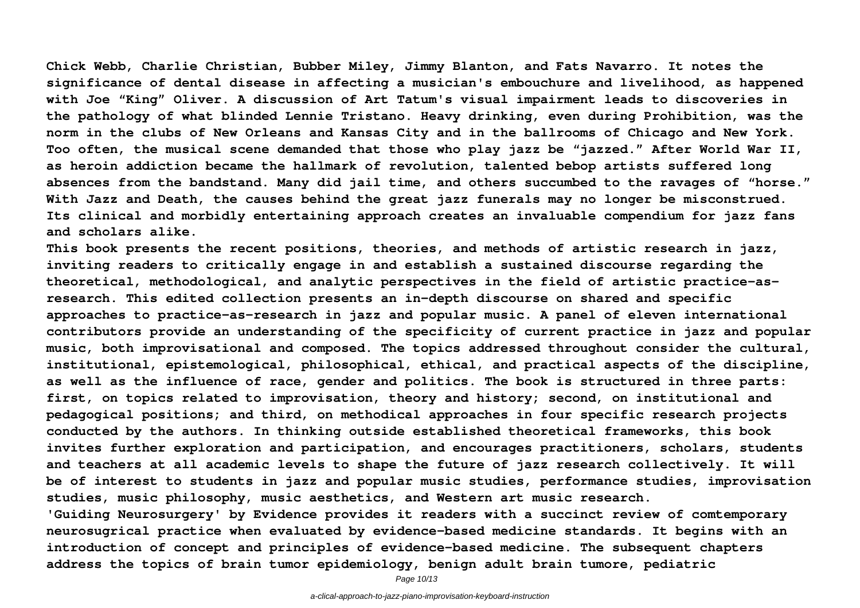**Chick Webb, Charlie Christian, Bubber Miley, Jimmy Blanton, and Fats Navarro. It notes the significance of dental disease in affecting a musician's embouchure and livelihood, as happened with Joe "King" Oliver. A discussion of Art Tatum's visual impairment leads to discoveries in the pathology of what blinded Lennie Tristano. Heavy drinking, even during Prohibition, was the norm in the clubs of New Orleans and Kansas City and in the ballrooms of Chicago and New York. Too often, the musical scene demanded that those who play jazz be "jazzed." After World War II, as heroin addiction became the hallmark of revolution, talented bebop artists suffered long absences from the bandstand. Many did jail time, and others succumbed to the ravages of "horse." With Jazz and Death, the causes behind the great jazz funerals may no longer be misconstrued. Its clinical and morbidly entertaining approach creates an invaluable compendium for jazz fans and scholars alike.**

**This book presents the recent positions, theories, and methods of artistic research in jazz, inviting readers to critically engage in and establish a sustained discourse regarding the theoretical, methodological, and analytic perspectives in the field of artistic practice-asresearch. This edited collection presents an in-depth discourse on shared and specific approaches to practice-as-research in jazz and popular music. A panel of eleven international contributors provide an understanding of the specificity of current practice in jazz and popular music, both improvisational and composed. The topics addressed throughout consider the cultural, institutional, epistemological, philosophical, ethical, and practical aspects of the discipline, as well as the influence of race, gender and politics. The book is structured in three parts: first, on topics related to improvisation, theory and history; second, on institutional and pedagogical positions; and third, on methodical approaches in four specific research projects conducted by the authors. In thinking outside established theoretical frameworks, this book invites further exploration and participation, and encourages practitioners, scholars, students and teachers at all academic levels to shape the future of jazz research collectively. It will be of interest to students in jazz and popular music studies, performance studies, improvisation studies, music philosophy, music aesthetics, and Western art music research. 'Guiding Neurosurgery' by Evidence provides it readers with a succinct review of comtemporary neurosugrical practice when evaluated by evidence-based medicine standards. It begins with an introduction of concept and principles of evidence-based medicine. The subsequent chapters**

**address the topics of brain tumor epidemiology, benign adult brain tumore, pediatric**

Page 10/13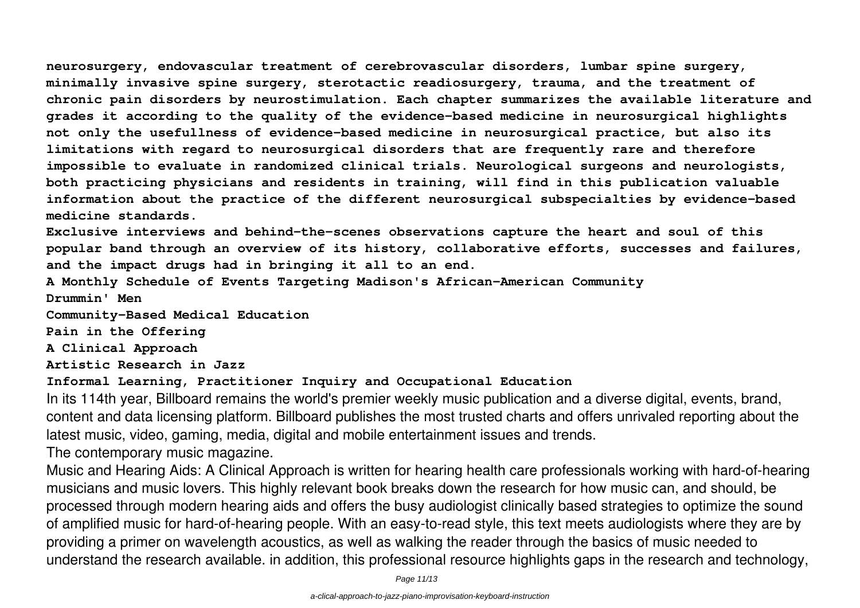**neurosurgery, endovascular treatment of cerebrovascular disorders, lumbar spine surgery, minimally invasive spine surgery, sterotactic readiosurgery, trauma, and the treatment of chronic pain disorders by neurostimulation. Each chapter summarizes the available literature and grades it according to the quality of the evidence-based medicine in neurosurgical highlights not only the usefullness of evidence-based medicine in neurosurgical practice, but also its limitations with regard to neurosurgical disorders that are frequently rare and therefore impossible to evaluate in randomized clinical trials. Neurological surgeons and neurologists, both practicing physicians and residents in training, will find in this publication valuable information about the practice of the different neurosurgical subspecialties by evidence-based medicine standards.**

**Exclusive interviews and behind-the-scenes observations capture the heart and soul of this popular band through an overview of its history, collaborative efforts, successes and failures, and the impact drugs had in bringing it all to an end.**

**A Monthly Schedule of Events Targeting Madison's African-American Community Drummin' Men**

**Community-Based Medical Education**

**Pain in the Offering**

**A Clinical Approach**

**Artistic Research in Jazz**

**Informal Learning, Practitioner Inquiry and Occupational Education**

In its 114th year, Billboard remains the world's premier weekly music publication and a diverse digital, events, brand, content and data licensing platform. Billboard publishes the most trusted charts and offers unrivaled reporting about the latest music, video, gaming, media, digital and mobile entertainment issues and trends.

The contemporary music magazine.

Music and Hearing Aids: A Clinical Approach is written for hearing health care professionals working with hard-of-hearing musicians and music lovers. This highly relevant book breaks down the research for how music can, and should, be processed through modern hearing aids and offers the busy audiologist clinically based strategies to optimize the sound of amplified music for hard-of-hearing people. With an easy-to-read style, this text meets audiologists where they are by providing a primer on wavelength acoustics, as well as walking the reader through the basics of music needed to understand the research available. in addition, this professional resource highlights gaps in the research and technology,

Page 11/13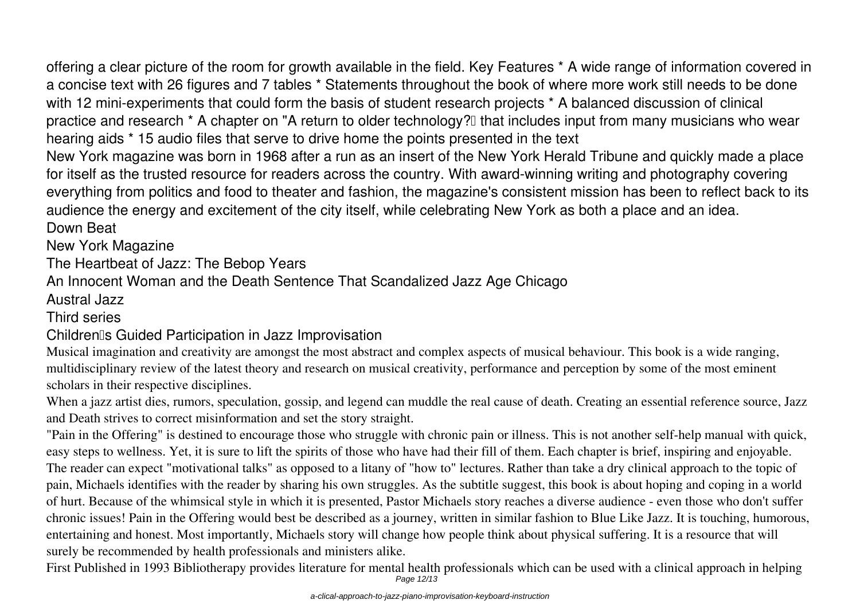offering a clear picture of the room for growth available in the field. Key Features \* A wide range of information covered in a concise text with 26 figures and 7 tables \* Statements throughout the book of where more work still needs to be done with 12 mini-experiments that could form the basis of student research projects \* A balanced discussion of clinical practice and research \* A chapter on "A return to older technology?" that includes input from many musicians who wear hearing aids \* 15 audio files that serve to drive home the points presented in the text

New York magazine was born in 1968 after a run as an insert of the New York Herald Tribune and quickly made a place for itself as the trusted resource for readers across the country. With award-winning writing and photography covering everything from politics and food to theater and fashion, the magazine's consistent mission has been to reflect back to its audience the energy and excitement of the city itself, while celebrating New York as both a place and an idea.

Down Beat

New York Magazine

The Heartbeat of Jazz: The Bebop Years

An Innocent Woman and the Death Sentence That Scandalized Jazz Age Chicago

Austral Jazz

#### Third series

### Children's Guided Participation in Jazz Improvisation

Musical imagination and creativity are amongst the most abstract and complex aspects of musical behaviour. This book is a wide ranging, multidisciplinary review of the latest theory and research on musical creativity, performance and perception by some of the most eminent scholars in their respective disciplines.

When a jazz artist dies, rumors, speculation, gossip, and legend can muddle the real cause of death. Creating an essential reference source, Jazz and Death strives to correct misinformation and set the story straight.

"Pain in the Offering" is destined to encourage those who struggle with chronic pain or illness. This is not another self-help manual with quick, easy steps to wellness. Yet, it is sure to lift the spirits of those who have had their fill of them. Each chapter is brief, inspiring and enjoyable. The reader can expect "motivational talks" as opposed to a litany of "how to" lectures. Rather than take a dry clinical approach to the topic of pain, Michaels identifies with the reader by sharing his own struggles. As the subtitle suggest, this book is about hoping and coping in a world of hurt. Because of the whimsical style in which it is presented, Pastor Michaels story reaches a diverse audience - even those who don't suffer chronic issues! Pain in the Offering would best be described as a journey, written in similar fashion to Blue Like Jazz. It is touching, humorous, entertaining and honest. Most importantly, Michaels story will change how people think about physical suffering. It is a resource that will surely be recommended by health professionals and ministers alike.

First Published in 1993 Bibliotherapy provides literature for mental health professionals which can be used with a clinical approach in helping Page 12/13